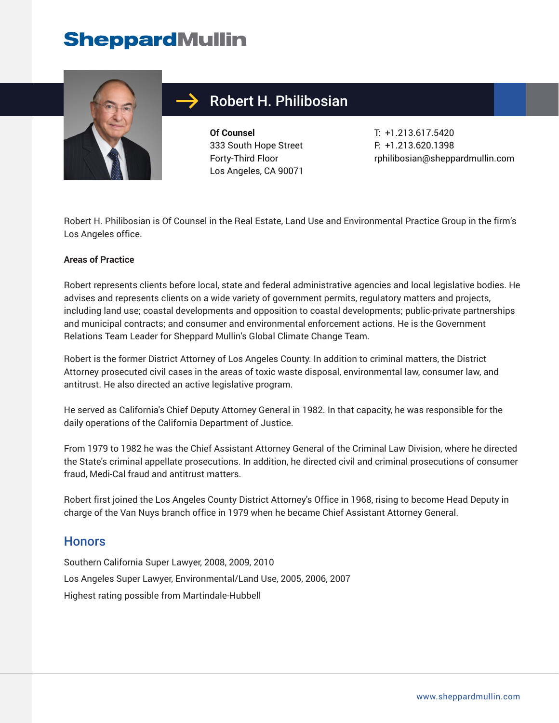## **SheppardMullin**



### Robert H. Philibosian

**Of Counsel** 333 South Hope Street Forty-Third Floor Los Angeles, CA 90071

T: +1.213.617.5420 F: +1.213.620.1398 rphilibosian@sheppardmullin.com

Robert H. Philibosian is Of Counsel in the Real Estate, Land Use and Environmental Practice Group in the firm's Los Angeles office.

#### **Areas of Practice**

Robert represents clients before local, state and federal administrative agencies and local legislative bodies. He advises and represents clients on a wide variety of government permits, regulatory matters and projects, including land use; coastal developments and opposition to coastal developments; public-private partnerships and municipal contracts; and consumer and environmental enforcement actions. He is the Government Relations Team Leader for Sheppard Mullin's Global Climate Change Team.

Robert is the former District Attorney of Los Angeles County. In addition to criminal matters, the District Attorney prosecuted civil cases in the areas of toxic waste disposal, environmental law, consumer law, and antitrust. He also directed an active legislative program.

He served as California's Chief Deputy Attorney General in 1982. In that capacity, he was responsible for the daily operations of the California Department of Justice.

From 1979 to 1982 he was the Chief Assistant Attorney General of the Criminal Law Division, where he directed the State's criminal appellate prosecutions. In addition, he directed civil and criminal prosecutions of consumer fraud, Medi-Cal fraud and antitrust matters.

Robert first joined the Los Angeles County District Attorney's Office in 1968, rising to become Head Deputy in charge of the Van Nuys branch office in 1979 when he became Chief Assistant Attorney General.

#### **Honors**

Southern California Super Lawyer, 2008, 2009, 2010 Los Angeles Super Lawyer, Environmental/Land Use, 2005, 2006, 2007 Highest rating possible from Martindale-Hubbell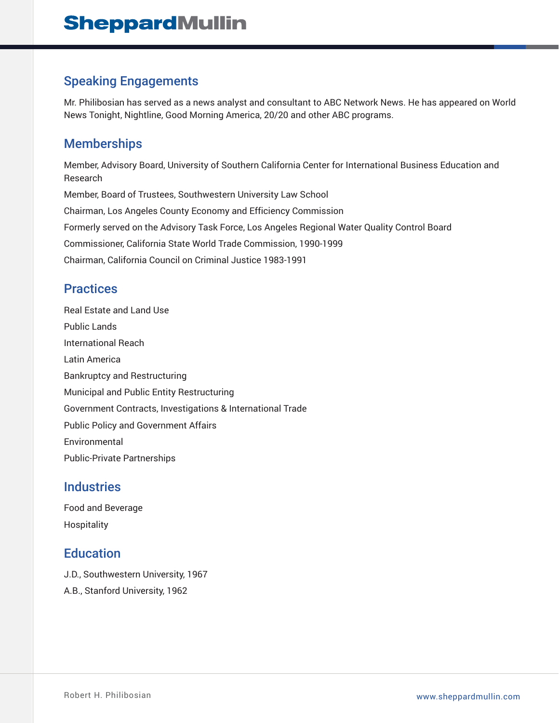#### Speaking Engagements

Mr. Philibosian has served as a news analyst and consultant to ABC Network News. He has appeared on World News Tonight, Nightline, Good Morning America, 20/20 and other ABC programs.

#### **Memberships**

Member, Advisory Board, University of Southern California Center for International Business Education and Research Member, Board of Trustees, Southwestern University Law School Chairman, Los Angeles County Economy and Efficiency Commission Formerly served on the Advisory Task Force, Los Angeles Regional Water Quality Control Board Commissioner, California State World Trade Commission, 1990-1999 Chairman, California Council on Criminal Justice 1983-1991

#### **Practices**

Real Estate and Land Use Public Lands International Reach Latin America Bankruptcy and Restructuring Municipal and Public Entity Restructuring Government Contracts, Investigations & International Trade Public Policy and Government Affairs Environmental Public-Private Partnerships

#### **Industries**

Food and Beverage Hospitality

#### **Education**

- J.D., Southwestern University, 1967
- A.B., Stanford University, 1962